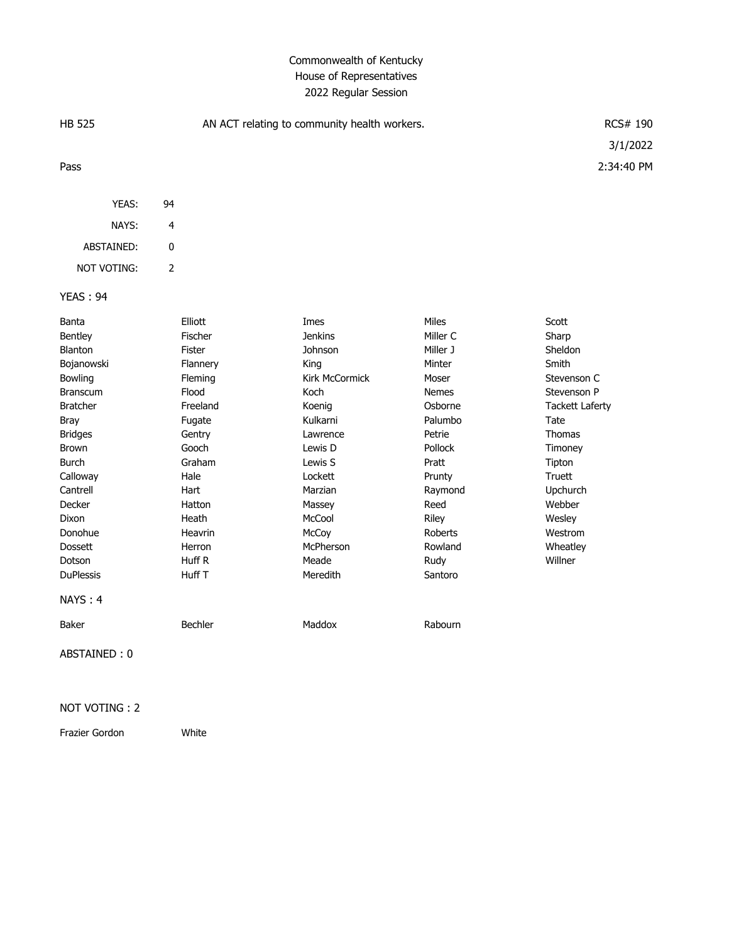### Commonwealth of Kentucky House of Representatives 2022 Regular Session

| <b>HB 525</b>      |                | AN ACT relating to community health workers. | RCS# 190<br>3/1/2022 |              |                        |
|--------------------|----------------|----------------------------------------------|----------------------|--------------|------------------------|
|                    |                |                                              |                      |              |                        |
| Pass               |                |                                              |                      |              | 2:34:40 PM             |
| YEAS:              | 94             |                                              |                      |              |                        |
| NAYS:              | 4              |                                              |                      |              |                        |
| ABSTAINED:         | 0              |                                              |                      |              |                        |
| <b>NOT VOTING:</b> | $\overline{2}$ |                                              |                      |              |                        |
| <b>YEAS: 94</b>    |                |                                              |                      |              |                        |
| Banta              |                | Elliott                                      | Imes                 | <b>Miles</b> | Scott                  |
| Bentley            |                | Fischer                                      | <b>Jenkins</b>       | Miller C     | Sharp                  |
| <b>Blanton</b>     |                | Fister                                       | Johnson              | Miller J     | Sheldon                |
| Bojanowski         |                | Flannery                                     | King                 | Minter       | Smith                  |
| Bowling            |                | Fleming                                      | Kirk McCormick       | Moser        | Stevenson C            |
| <b>Branscum</b>    |                | Flood                                        | Koch                 | <b>Nemes</b> | Stevenson P            |
| <b>Bratcher</b>    |                | Freeland                                     | Koenig               | Osborne      | <b>Tackett Laferty</b> |
| <b>Bray</b>        |                | Fugate                                       | Kulkarni             | Palumbo      | Tate                   |
| <b>Bridges</b>     |                | Gentry                                       | Lawrence             | Petrie       | Thomas                 |
| <b>Brown</b>       |                | Gooch                                        | Lewis D              | Pollock      | Timoney                |
| <b>Burch</b>       |                | Graham                                       | Lewis S              | Pratt        | Tipton                 |
| Calloway           |                | Hale                                         | Lockett              | Prunty       | Truett                 |
| Cantrell           |                | Hart                                         | Marzian              | Raymond      | Upchurch               |
| Decker             |                | Hatton                                       | Massey               | Reed         | Webber                 |
| Dixon              |                | Heath                                        | McCool               | Riley        | Wesley                 |
| Donohue            |                | Heavrin                                      | McCoy                | Roberts      | Westrom                |
| <b>Dossett</b>     |                | Herron                                       | McPherson            | Rowland      | Wheatley               |
| Dotson             |                | Huff R                                       | Meade                | Rudy         | Willner                |

DuPlessis **Huff T** Meredith Santoro

### NAYS : 4

Baker Bechler Bechler Maddox Rabourn

ABSTAINED : 0

#### NOT VOTING : 2

Frazier Gordon White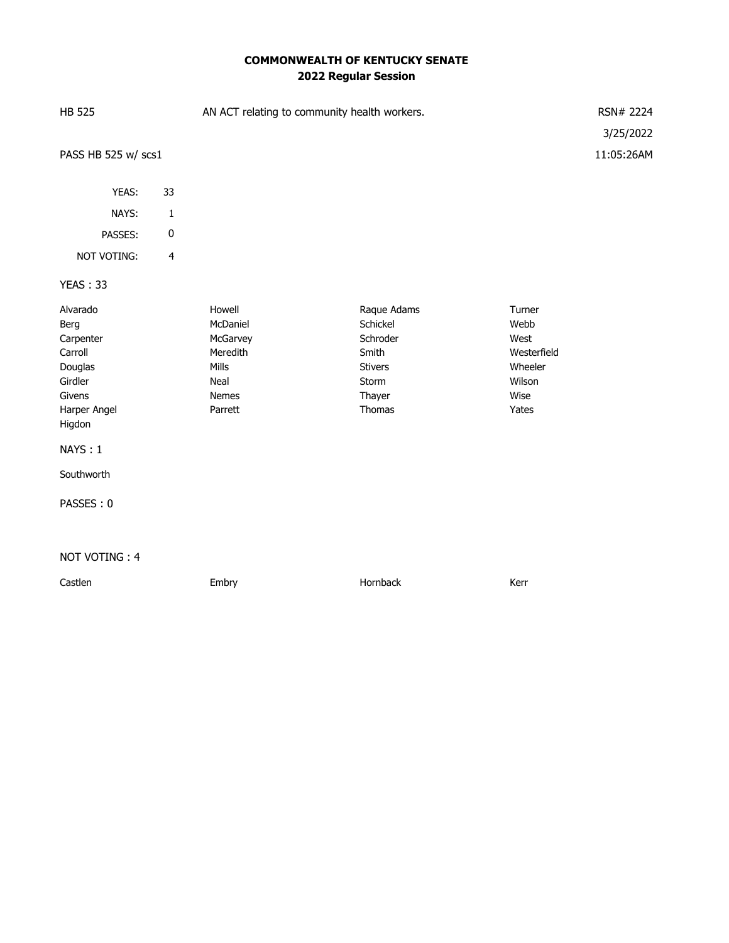# **COMMONWEALTH OF KENTUCKY SENATE 2022 Regular Session**

| <b>HB 525</b>                                                                                                                            |                | AN ACT relating to community health workers.                                           |                                                                                             |                                                                             |                         |  |
|------------------------------------------------------------------------------------------------------------------------------------------|----------------|----------------------------------------------------------------------------------------|---------------------------------------------------------------------------------------------|-----------------------------------------------------------------------------|-------------------------|--|
| PASS HB 525 w/ scs1                                                                                                                      |                |                                                                                        |                                                                                             |                                                                             | 3/25/2022<br>11:05:26AM |  |
| YEAS:                                                                                                                                    | 33             |                                                                                        |                                                                                             |                                                                             |                         |  |
| NAYS:                                                                                                                                    | $\mathbf 1$    |                                                                                        |                                                                                             |                                                                             |                         |  |
| PASSES:                                                                                                                                  | 0              |                                                                                        |                                                                                             |                                                                             |                         |  |
| NOT VOTING:                                                                                                                              | $\overline{4}$ |                                                                                        |                                                                                             |                                                                             |                         |  |
| YEAS: 33                                                                                                                                 |                |                                                                                        |                                                                                             |                                                                             |                         |  |
| Alvarado<br>Berg<br>Carpenter<br>Carroll<br>Douglas<br>Girdler<br>Givens<br>Harper Angel<br>Higdon<br>NAYS: 1<br>Southworth<br>PASSES: 0 |                | Howell<br>McDaniel<br>McGarvey<br>Meredith<br>Mills<br>Neal<br><b>Nemes</b><br>Parrett | Raque Adams<br>Schickel<br>Schroder<br>Smith<br><b>Stivers</b><br>Storm<br>Thayer<br>Thomas | Turner<br>Webb<br>West<br>Westerfield<br>Wheeler<br>Wilson<br>Wise<br>Yates |                         |  |
| NOT VOTING: 4                                                                                                                            |                |                                                                                        |                                                                                             |                                                                             |                         |  |
| Castlen                                                                                                                                  |                | Embry                                                                                  | Hornback                                                                                    | Kerr                                                                        |                         |  |